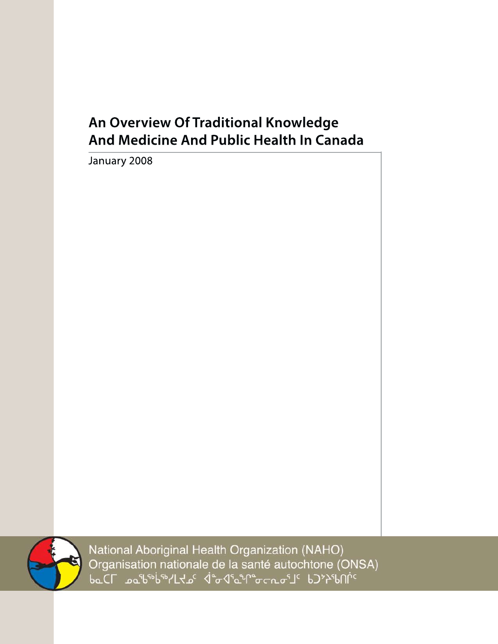# **AnOverviewOfTraditionalKnowledge And Medicine And Public Health In Canada**

January 2008



National Aboriginal Health Organization (NAHO) Organisation nationale de la santé autochtone (ONSA)<br>baCL هو هو هو التهارية ( المسلمة المسلمة المسلمة المسلمة المسلمة المسلمة المسلمة المسلمة المسلمة ال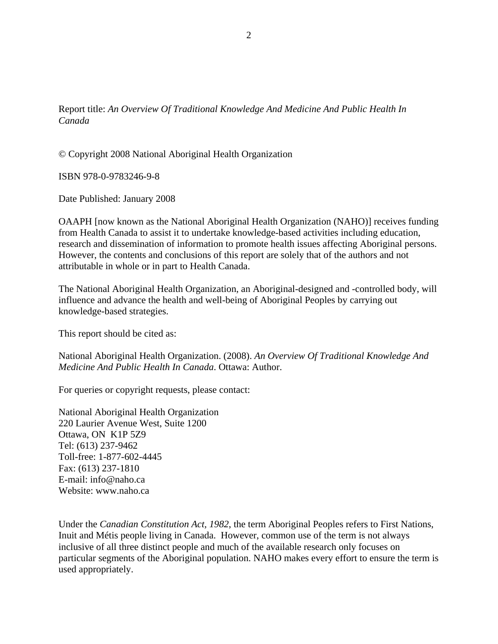Report title: *An Overview Of Traditional Knowledge And Medicine And Public Health In Canada* 

© Copyright 2008 National Aboriginal Health Organization

ISBN 978-0-9783246-9-8

Date Published: January 2008

OAAPH [now known as the National Aboriginal Health Organization (NAHO)] receives funding from Health Canada to assist it to undertake knowledge-based activities including education, research and dissemination of information to promote health issues affecting Aboriginal persons. However, the contents and conclusions of this report are solely that of the authors and not attributable in whole or in part to Health Canada.

The National Aboriginal Health Organization, an Aboriginal-designed and -controlled body, will influence and advance the health and well-being of Aboriginal Peoples by carrying out knowledge-based strategies.

This report should be cited as:

National Aboriginal Health Organization. (2008). *An Overview Of Traditional Knowledge And Medicine And Public Health In Canada*. Ottawa: Author.

For queries or copyright requests, please contact:

National Aboriginal Health Organization 220 Laurier Avenue West, Suite 1200 Ottawa, ON K1P 5Z9 Tel: (613) 237-9462 Toll-free: 1-877-602-4445 Fax: (613) 237-1810 E-mail: info@naho.ca Website: www.naho.ca

Under the *Canadian Constitution Act, 1982*, the term Aboriginal Peoples refers to First Nations, Inuit and Métis people living in Canada. However, common use of the term is not always inclusive of all three distinct people and much of the available research only focuses on particular segments of the Aboriginal population. NAHO makes every effort to ensure the term is used appropriately.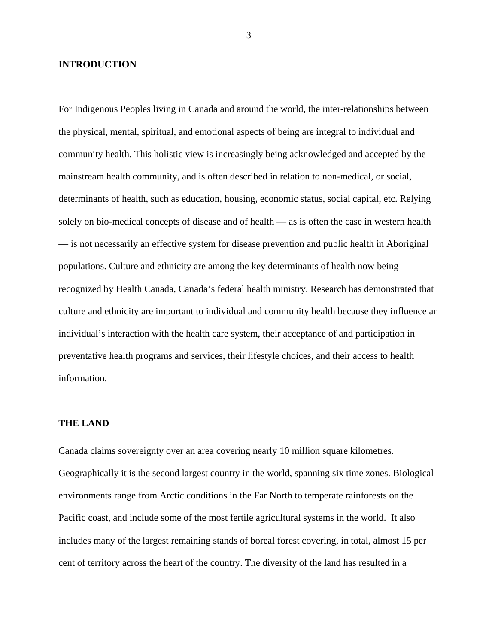# <span id="page-2-1"></span>**INTRODUCTION**

For Indigenous Peoples living in Canada and around the world, the inter-relationships between the physical, mental, spiritual, and emotional aspects of being are integral to individual and community health. This holistic view is increasingly being acknowledged and accepted by the mainstream health community, and is often described in relation to non-medical, or social, determinants of health, such as education, housing, economic status, social capital, etc. Relying solely on bio-medical concepts of disease and of health — as is often the case in western health — is not necessarily an effective system for disease prevention and public health in Aboriginal populations. Culture and ethnicity are among the key determinants of health now being recognized by Health Canada, Canada's federal health ministry. Research has demonstrated that culture and ethnicity are important to individual and community health because they influence an individual's interaction with the health care system, their acceptance of and participation in preventative health programs and services, their lifestyle choices, and their access to health information.

# <span id="page-2-0"></span>**THE LAND**

Canada claims sovereignty over an area covering nearly 10 million square kilometres. Geographically it is the second largest country in the world, spanning six time zones. Biological environments range from Arctic conditions in the Far North to temperate rainforests on the Pacific coast, and include some of the most fertile agricultural systems in the world. It also includes many of the largest remaining stands of boreal forest covering, in total, almost 15 per cent of territory across the heart of the country. The diversity of the land has resulted in a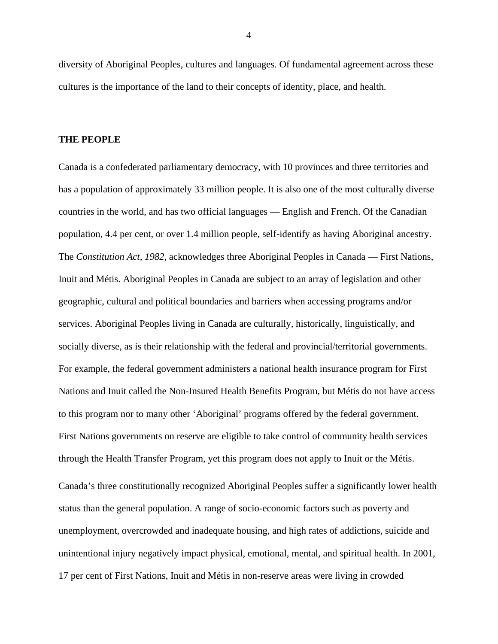<span id="page-3-0"></span>diversity of Aboriginal Peoples, cultures and languages. Of fundamental agreement across these cultures is the importance of the land to their concepts of identity, place, and health.

#### **THE PEOPLE**

Canada is a confederated parliamentary democracy, with 10 provinces and three territories and has a population of approximately 33 million people. It is also one of the most culturally diverse countries in the world, and has two official languages — English and French. Of the Canadian population, 4.4 per cent, or over 1.4 million people, self-identify as having Aboriginal ancestry. The *Constitution Act, 1982,* acknowledges three Aboriginal Peoples in Canada — First Nations, Inuit and Métis. Aboriginal Peoples in Canada are subject to an array of legislation and other geographic, cultural and political boundaries and barriers when accessing programs and/or services. Aboriginal Peoples living in Canada are culturally, historically, linguistically, and socially diverse, as is their relationship with the federal and provincial/territorial governments. For example, the federal government administers a national health insurance program for First Nations and Inuit called the Non-Insured Health Benefits Program, but Métis do not have access to this program nor to many other 'Aboriginal' programs offered by the federal government. First Nations governments on reserve are eligible to take control of community health services through the Health Transfer Program, yet this program does not apply to Inuit or the Métis. Canada's three constitutionally recognized Aboriginal Peoples suffer a significantly lower health status than the general population. A range of socio-economic factors such as poverty and unemployment, overcrowded and inadequate housing, and high rates of addictions, suicide and unintentional injury negatively impact physical, emotional, mental, and spiritual health. In 2001, 17 per cent of First Nations, Inuit and Métis in non-reserve areas were living in crowded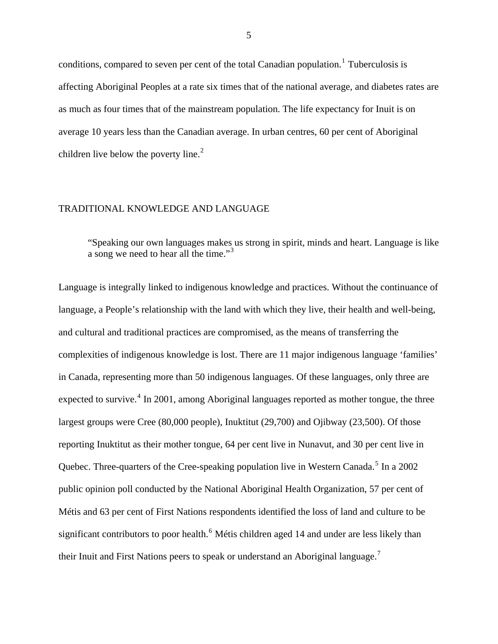conditions, compared to seven per cent of the total Canadian population.<sup>[1](#page-2-0)</sup> Tuberculosis is affecting Aboriginal Peoples at a rate six times that of the national average, and diabetes rates are as much as four times that of the mainstream population. The life expectancy for Inuit is on average 10 years less than the Canadian average. In urban centres, 60 per cent of Aboriginal children live below the poverty line. $2$ 

#### TRADITIONAL KNOWLEDGE AND LANGUAGE

"Speaking our own languages makes us strong in spirit, minds and heart. Language is like a song we need to hear all the time."[3](#page-2-1)

Language is integrally linked to indigenous knowledge and practices. Without the continuance of language, a People's relationship with the land with which they live, their health and well-being, and cultural and traditional practices are compromised, as the means of transferring the complexities of indigenous knowledge is lost. There are 11 major indigenous language 'families' in Canada, representing more than 50 indigenous languages. Of these languages, only three are expected to survive.<sup>[4](#page-2-1)</sup> In 2001, among Aboriginal languages reported as mother tongue, the three largest groups were Cree (80,000 people), Inuktitut (29,700) and Ojibway (23,500). Of those reporting Inuktitut as their mother tongue, 64 per cent live in Nunavut, and 30 per cent live in Quebec. Three-quarters of the Cree-speaking population live in Western Canada.<sup>[5](#page-2-1)</sup> In a 2002 public opinion poll conducted by the National Aboriginal Health Organization, 57 per cent of Métis and 63 per cent of First Nations respondents identified the loss of land and culture to be significant contributors to poor health.<sup>[6](#page-2-1)</sup> Métis children aged 14 and under are less likely than their Inuit and First Nations peers to speak or understand an Aboriginal language.[7](#page-2-1)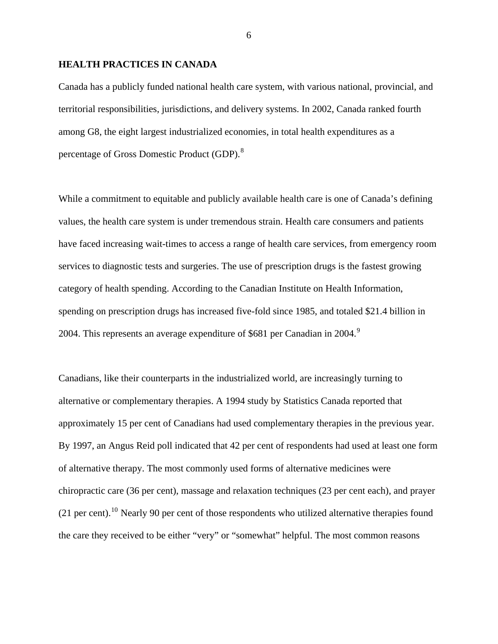# **HEALTH PRACTICES IN CANADA**

Canada has a publicly funded national health care system, with various national, provincial, and territorial responsibilities, jurisdictions, and delivery systems. In 2002, Canada ranked fourth among G8, the eight largest industrialized economies, in total health expenditures as a percentage of Gross Domestic Product (GDP).<sup>[8](#page-3-0)</sup>

While a commitment to equitable and publicly available health care is one of Canada's defining values, the health care system is under tremendous strain. Health care consumers and patients have faced increasing wait-times to access a range of health care services, from emergency room services to diagnostic tests and surgeries. The use of prescription drugs is the fastest growing category of health spending. According to the Canadian Institute on Health Information, spending on prescription drugs has increased five-fold since 1985, and totaled \$21.4 billion in 2004. This represents an average expenditure of \$681 per Canadian in 2004.<sup>[9](#page-3-0)</sup>

Canadians, like their counterparts in the industrialized world, are increasingly turning to alternative or complementary therapies. A 1994 study by Statistics Canada reported that approximately 15 per cent of Canadians had used complementary therapies in the previous year. By 1997, an Angus Reid poll indicated that 42 per cent of respondents had used at least one form of alternative therapy. The most commonly used forms of alternative medicines were chiropractic care (36 per cent), massage and relaxation techniques (23 per cent each), and prayer  $(21 \text{ per cent})$ .<sup>[10](#page-3-0)</sup> Nearly 90 per cent of those respondents who utilized alternative therapies found the care they received to be either "very" or "somewhat" helpful. The most common reasons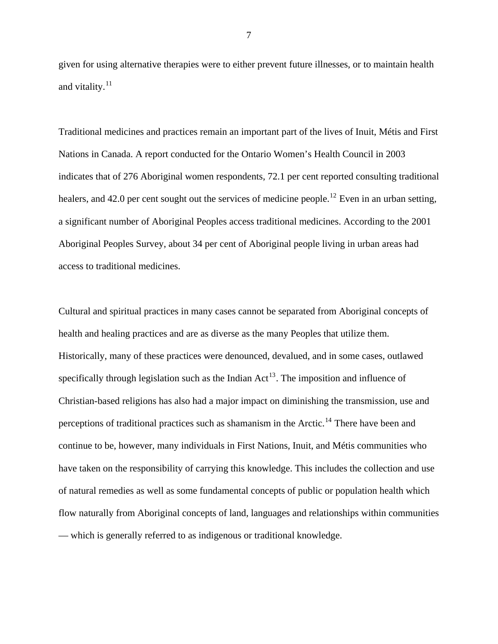given for using alternative therapies were to either prevent future illnesses, or to maintain health and vitality. $^{11}$  $^{11}$  $^{11}$ 

Traditional medicines and practices remain an important part of the lives of Inuit, Métis and First Nations in Canada. A report conducted for the Ontario Women's Health Council in 2003 indicates that of 276 Aboriginal women respondents, 72.1 per cent reported consulting traditional healers, and 42.0 per cent sought out the services of medicine people.<sup>[12](#page-3-0)</sup> Even in an urban setting, a significant number of Aboriginal Peoples access traditional medicines. According to the 2001 Aboriginal Peoples Survey, about 34 per cent of Aboriginal people living in urban areas had access to traditional medicines.

Cultural and spiritual practices in many cases cannot be separated from Aboriginal concepts of health and healing practices and are as diverse as the many Peoples that utilize them. Historically, many of these practices were denounced, devalued, and in some cases, outlawed specifically through legislation such as the Indian  $Act^{13}$  $Act^{13}$  $Act^{13}$ . The imposition and influence of Christian-based religions has also had a major impact on diminishing the transmission, use and perceptions of traditional practices such as shamanism in the Arctic.<sup>[14](#page-3-0)</sup> There have been and continue to be, however, many individuals in First Nations, Inuit, and Métis communities who have taken on the responsibility of carrying this knowledge. This includes the collection and use of natural remedies as well as some fundamental concepts of public or population health which flow naturally from Aboriginal concepts of land, languages and relationships within communities — which is generally referred to as indigenous or traditional knowledge.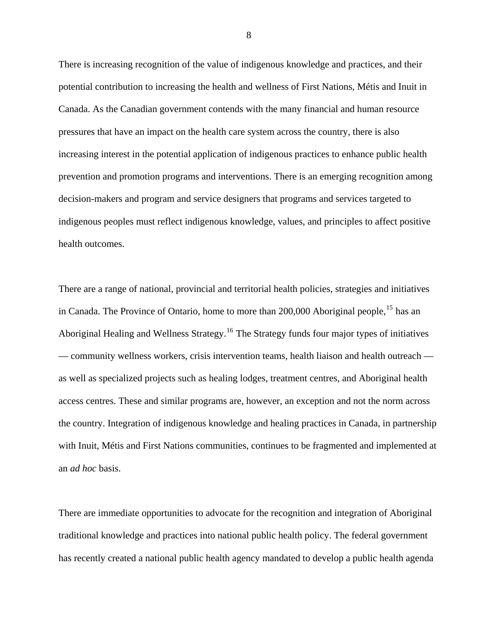There is increasing recognition of the value of indigenous knowledge and practices, and their potential contribution to increasing the health and wellness of First Nations, Métis and Inuit in Canada. As the Canadian government contends with the many financial and human resource pressures that have an impact on the health care system across the country, there is also increasing interest in the potential application of indigenous practices to enhance public health prevention and promotion programs and interventions. There is an emerging recognition among decision-makers and program and service designers that programs and services targeted to indigenous peoples must reflect indigenous knowledge, values, and principles to affect positive health outcomes.

There are a range of national, provincial and territorial health policies, strategies and initiatives in Canada. The Province of Ontario, home to more than 200,000 Aboriginal people, <sup>[15](#page-3-0)</sup> has an Aboriginal Healing and Wellness Strategy.[16](#page-3-0) The Strategy funds four major types of initiatives — community wellness workers, crisis intervention teams, health liaison and health outreach as well as specialized projects such as healing lodges, treatment centres, and Aboriginal health access centres. These and similar programs are, however, an exception and not the norm across the country. Integration of indigenous knowledge and healing practices in Canada, in partnership with Inuit, Métis and First Nations communities, continues to be fragmented and implemented at an *ad hoc* basis.

There are immediate opportunities to advocate for the recognition and integration of Aboriginal traditional knowledge and practices into national public health policy. The federal government has recently created a national public health agency mandated to develop a public health agenda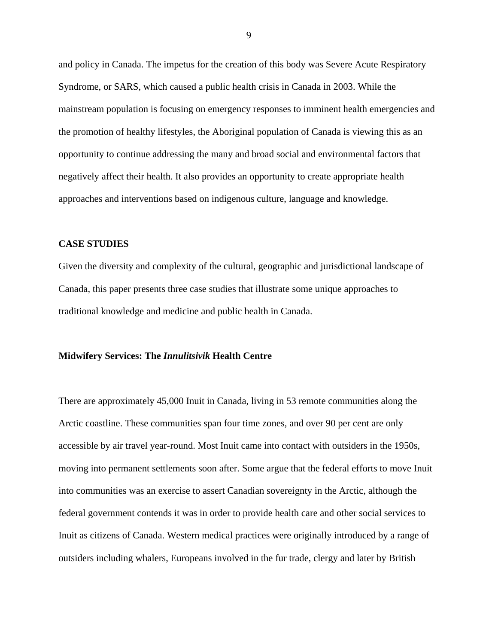and policy in Canada. The impetus for the creation of this body was Severe Acute Respiratory Syndrome, or SARS, which caused a public health crisis in Canada in 2003. While the mainstream population is focusing on emergency responses to imminent health emergencies and the promotion of healthy lifestyles, the Aboriginal population of Canada is viewing this as an opportunity to continue addressing the many and broad social and environmental factors that negatively affect their health. It also provides an opportunity to create appropriate health approaches and interventions based on indigenous culture, language and knowledge.

## **CASE STUDIES**

Given the diversity and complexity of the cultural, geographic and jurisdictional landscape of Canada, this paper presents three case studies that illustrate some unique approaches to traditional knowledge and medicine and public health in Canada.

#### **Midwifery Services: The** *Innulitsivik* **Health Centre**

There are approximately 45,000 Inuit in Canada, living in 53 remote communities along the Arctic coastline. These communities span four time zones, and over 90 per cent are only accessible by air travel year-round. Most Inuit came into contact with outsiders in the 1950s, moving into permanent settlements soon after. Some argue that the federal efforts to move Inuit into communities was an exercise to assert Canadian sovereignty in the Arctic, although the federal government contends it was in order to provide health care and other social services to Inuit as citizens of Canada. Western medical practices were originally introduced by a range of outsiders including whalers, Europeans involved in the fur trade, clergy and later by British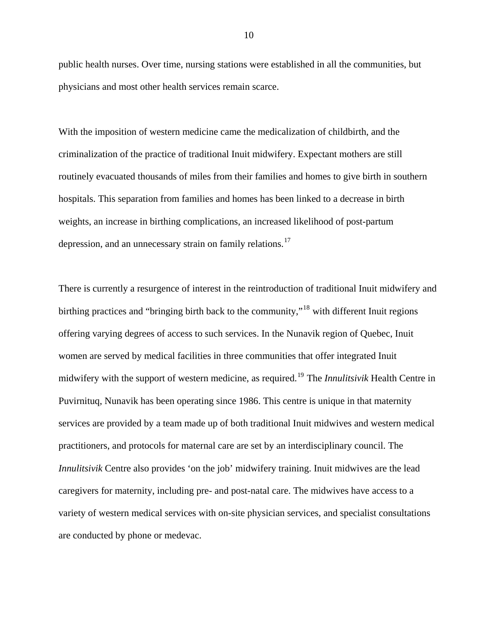public health nurses. Over time, nursing stations were established in all the communities, but physicians and most other health services remain scarce.

With the imposition of western medicine came the medicalization of childbirth, and the criminalization of the practice of traditional Inuit midwifery. Expectant mothers are still routinely evacuated thousands of miles from their families and homes to give birth in southern hospitals. This separation from families and homes has been linked to a decrease in birth weights, an increase in birthing complications, an increased likelihood of post-partum depression, and an unnecessary strain on family relations.<sup>[17](#page-3-0)</sup>

There is currently a resurgence of interest in the reintroduction of traditional Inuit midwifery and birthing practices and "bringing birth back to the community,"<sup>[18](#page-3-0)</sup> with different Inuit regions offering varying degrees of access to such services. In the Nunavik region of Quebec, Inuit women are served by medical facilities in three communities that offer integrated Inuit midwifery with the support of western medicine, as required.[19](#page-3-0) The *Innulitsivik* Health Centre in Puvirnituq, Nunavik has been operating since 1986. This centre is unique in that maternity services are provided by a team made up of both traditional Inuit midwives and western medical practitioners, and protocols for maternal care are set by an interdisciplinary council. The *Innulitsivik* Centre also provides 'on the job' midwifery training. Inuit midwives are the lead caregivers for maternity, including pre- and post-natal care. The midwives have access to a variety of western medical services with on-site physician services, and specialist consultations are conducted by phone or medevac.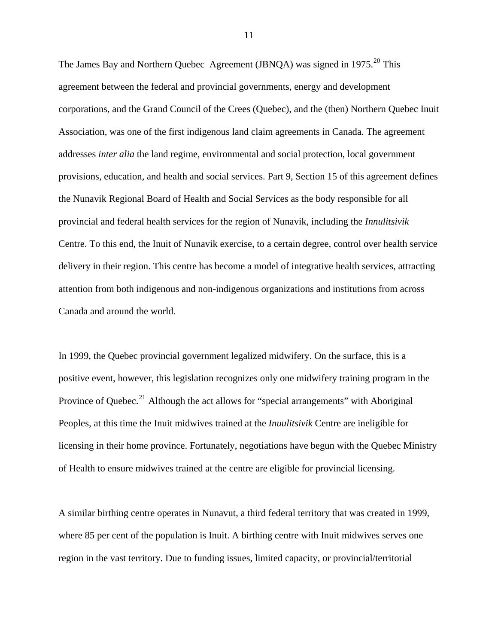The James Bay and Northern Quebec Agreement (JBNQA) was signed in 1975.<sup>[20](#page-3-0)</sup> This agreement between the federal and provincial governments, energy and development corporations, and the Grand Council of the Crees (Quebec), and the (then) Northern Quebec Inuit Association, was one of the first indigenous land claim agreements in Canada. The agreement addresses *inter alia* the land regime, environmental and social protection, local government provisions, education, and health and social services. Part 9, Section 15 of this agreement defines the Nunavik Regional Board of Health and Social Services as the body responsible for all provincial and federal health services for the region of Nunavik, including the *Innulitsivik*  Centre. To this end, the Inuit of Nunavik exercise, to a certain degree, control over health service delivery in their region. This centre has become a model of integrative health services, attracting attention from both indigenous and non-indigenous organizations and institutions from across Canada and around the world.

In 1999, the Quebec provincial government legalized midwifery. On the surface, this is a positive event, however, this legislation recognizes only one midwifery training program in the Province of Quebec.<sup>[21](#page-3-0)</sup> Although the act allows for "special arrangements" with Aboriginal Peoples, at this time the Inuit midwives trained at the *Inuulitsivik* Centre are ineligible for licensing in their home province. Fortunately, negotiations have begun with the Quebec Ministry of Health to ensure midwives trained at the centre are eligible for provincial licensing.

A similar birthing centre operates in Nunavut, a third federal territory that was created in 1999, where 85 per cent of the population is Inuit. A birthing centre with Inuit midwives serves one region in the vast territory. Due to funding issues, limited capacity, or provincial/territorial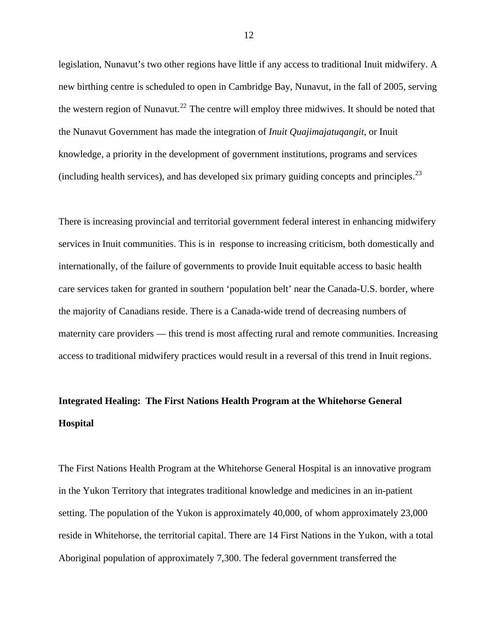legislation, Nunavut's two other regions have little if any access to traditional Inuit midwifery. A new birthing centre is scheduled to open in Cambridge Bay, Nunavut, in the fall of 2005, serving the western region of Nunavut.<sup>[22](#page-3-0)</sup> The centre will employ three midwives. It should be noted that the Nunavut Government has made the integration of *Inuit Quajimajatuqangit*, or Inuit knowledge, a priority in the development of government institutions, programs and services (including health services), and has developed six primary guiding concepts and principles. $^{23}$  $^{23}$  $^{23}$ 

There is increasing provincial and territorial government federal interest in enhancing midwifery services in Inuit communities. This is in response to increasing criticism, both domestically and internationally, of the failure of governments to provide Inuit equitable access to basic health care services taken for granted in southern 'population belt' near the Canada-U.S. border, where the majority of Canadians reside. There is a Canada-wide trend of decreasing numbers of maternity care providers — this trend is most affecting rural and remote communities. Increasing access to traditional midwifery practices would result in a reversal of this trend in Inuit regions.

# **Integrated Healing: The First Nations Health Program at the Whitehorse General Hospital**

The First Nations Health Program at the Whitehorse General Hospital is an innovative program in the Yukon Territory that integrates traditional knowledge and medicines in an in-patient setting. The population of the Yukon is approximately 40,000, of whom approximately 23,000 reside in Whitehorse, the territorial capital. There are 14 First Nations in the Yukon, with a total Aboriginal population of approximately 7,300. The federal government transferred the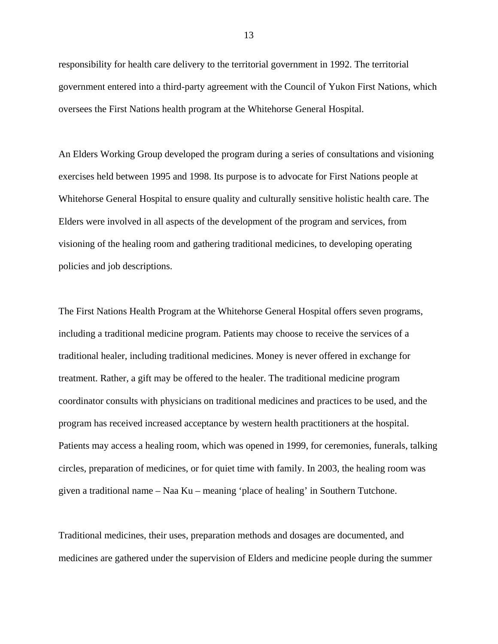responsibility for health care delivery to the territorial government in 1992. The territorial government entered into a third-party agreement with the Council of Yukon First Nations, which oversees the First Nations health program at the Whitehorse General Hospital.

An Elders Working Group developed the program during a series of consultations and visioning exercises held between 1995 and 1998. Its purpose is to advocate for First Nations people at Whitehorse General Hospital to ensure quality and culturally sensitive holistic health care. The Elders were involved in all aspects of the development of the program and services, from visioning of the healing room and gathering traditional medicines, to developing operating policies and job descriptions.

The First Nations Health Program at the Whitehorse General Hospital offers seven programs, including a traditional medicine program. Patients may choose to receive the services of a traditional healer, including traditional medicines. Money is never offered in exchange for treatment. Rather, a gift may be offered to the healer. The traditional medicine program coordinator consults with physicians on traditional medicines and practices to be used, and the program has received increased acceptance by western health practitioners at the hospital. Patients may access a healing room, which was opened in 1999, for ceremonies, funerals, talking circles, preparation of medicines, or for quiet time with family. In 2003, the healing room was given a traditional name – Naa Ku – meaning 'place of healing' in Southern Tutchone.

Traditional medicines, their uses, preparation methods and dosages are documented, and medicines are gathered under the supervision of Elders and medicine people during the summer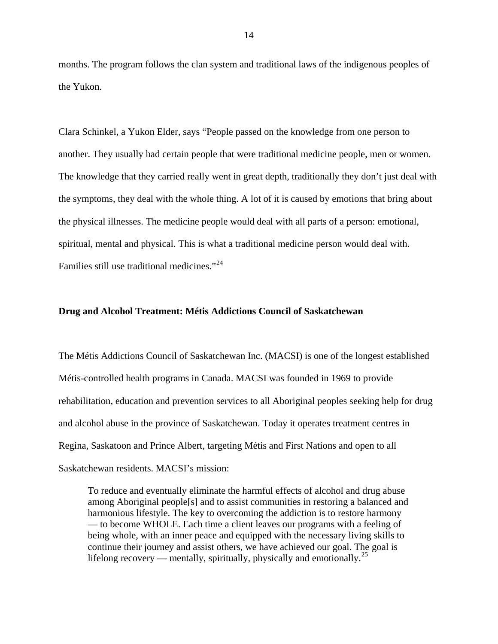months. The program follows the clan system and traditional laws of the indigenous peoples of the Yukon.

Clara Schinkel, a Yukon Elder, says "People passed on the knowledge from one person to another. They usually had certain people that were traditional medicine people, men or women. The knowledge that they carried really went in great depth, traditionally they don't just deal with the symptoms, they deal with the whole thing. A lot of it is caused by emotions that bring about the physical illnesses. The medicine people would deal with all parts of a person: emotional, spiritual, mental and physical. This is what a traditional medicine person would deal with. Families still use traditional medicines."<sup>[24](#page-3-0)</sup>

# **Drug and Alcohol Treatment: Métis Addictions Council of Saskatchewan**

The Métis Addictions Council of Saskatchewan Inc. (MACSI) is one of the longest established Métis-controlled health programs in Canada. MACSI was founded in 1969 to provide rehabilitation, education and prevention services to all Aboriginal peoples seeking help for drug and alcohol abuse in the province of Saskatchewan. Today it operates treatment centres in Regina, Saskatoon and Prince Albert, targeting Métis and First Nations and open to all Saskatchewan residents. MACSI's mission:

To reduce and eventually eliminate the harmful effects of alcohol and drug abuse among Aboriginal people[s] and to assist communities in restoring a balanced and harmonious lifestyle. The key to overcoming the addiction is to restore harmony — to become WHOLE. Each time a client leaves our programs with a feeling of being whole, with an inner peace and equipped with the necessary living skills to continue their journey and assist others, we have achieved our goal. The goal is lifelong recovery — mentally, spiritually, physically and emotionally.<sup>[25](#page-3-0)</sup>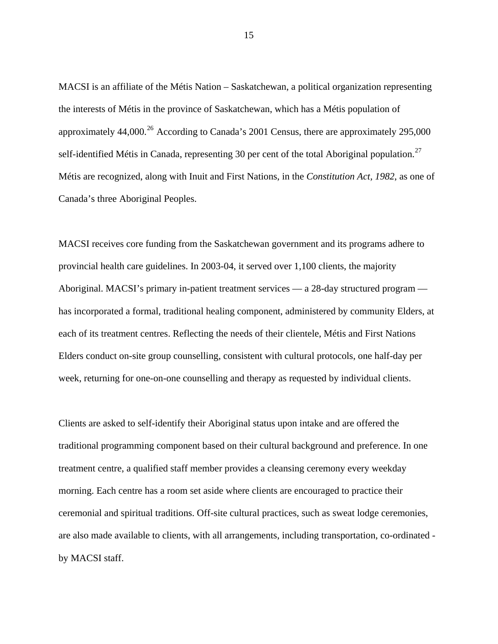MACSI is an affiliate of the Métis Nation – Saskatchewan, a political organization representing the interests of Métis in the province of Saskatchewan, which has a Métis population of approximately  $44,000^{26}$  $44,000^{26}$  $44,000^{26}$  According to Canada's 2001 Census, there are approximately 295,000 self-identified Métis in Canada, representing 30 per cent of the total Aboriginal population.<sup>[27](#page-3-0)</sup> Métis are recognized, along with Inuit and First Nations, in the *Constitution Act, 1982*, as one of Canada's three Aboriginal Peoples.

MACSI receives core funding from the Saskatchewan government and its programs adhere to provincial health care guidelines. In 2003-04, it served over 1,100 clients, the majority Aboriginal. MACSI's primary in-patient treatment services — a 28-day structured program has incorporated a formal, traditional healing component, administered by community Elders, at each of its treatment centres. Reflecting the needs of their clientele, Métis and First Nations Elders conduct on-site group counselling, consistent with cultural protocols, one half-day per week, returning for one-on-one counselling and therapy as requested by individual clients.

Clients are asked to self-identify their Aboriginal status upon intake and are offered the traditional programming component based on their cultural background and preference. In one treatment centre, a qualified staff member provides a cleansing ceremony every weekday morning. Each centre has a room set aside where clients are encouraged to practice their ceremonial and spiritual traditions. Off-site cultural practices, such as sweat lodge ceremonies, are also made available to clients, with all arrangements, including transportation, co-ordinated by MACSI staff.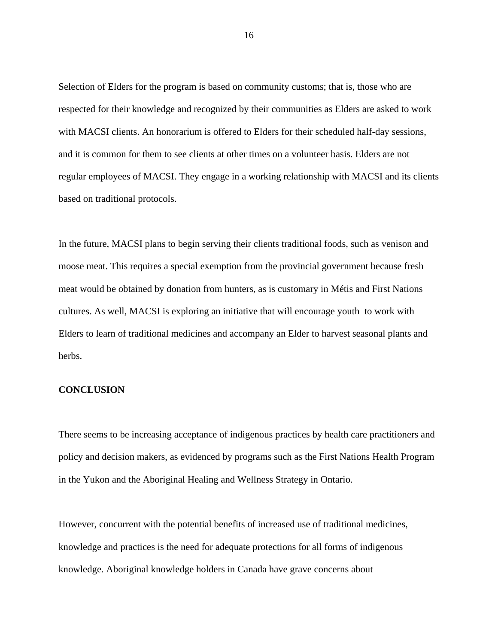Selection of Elders for the program is based on community customs; that is, those who are respected for their knowledge and recognized by their communities as Elders are asked to work with MACSI clients. An honorarium is offered to Elders for their scheduled half-day sessions, and it is common for them to see clients at other times on a volunteer basis. Elders are not regular employees of MACSI. They engage in a working relationship with MACSI and its clients based on traditional protocols.

In the future, MACSI plans to begin serving their clients traditional foods, such as venison and moose meat. This requires a special exemption from the provincial government because fresh meat would be obtained by donation from hunters, as is customary in Métis and First Nations cultures. As well, MACSI is exploring an initiative that will encourage youth to work with Elders to learn of traditional medicines and accompany an Elder to harvest seasonal plants and herbs.

# **CONCLUSION**

There seems to be increasing acceptance of indigenous practices by health care practitioners and policy and decision makers, as evidenced by programs such as the First Nations Health Program in the Yukon and the Aboriginal Healing and Wellness Strategy in Ontario.

However, concurrent with the potential benefits of increased use of traditional medicines, knowledge and practices is the need for adequate protections for all forms of indigenous knowledge. Aboriginal knowledge holders in Canada have grave concerns about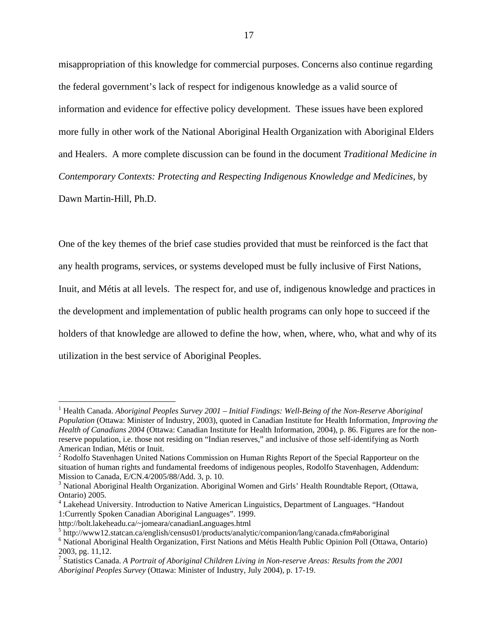misappropriation of this knowledge for commercial purposes. Concerns also continue regarding the federal government's lack of respect for indigenous knowledge as a valid source of information and evidence for effective policy development. These issues have been explored more fully in other work of the National Aboriginal Health Organization with Aboriginal Elders and Healers. A more complete discussion can be found in the document *Traditional Medicine in Contemporary Contexts: Protecting and Respecting Indigenous Knowledge and Medicines,* by

Dawn Martin-Hill, Ph.D.

 $\overline{a}$ 

One of the key themes of the brief case studies provided that must be reinforced is the fact that any health programs, services, or systems developed must be fully inclusive of First Nations, Inuit, and Métis at all levels. The respect for, and use of, indigenous knowledge and practices in the development and implementation of public health programs can only hope to succeed if the holders of that knowledge are allowed to define the how, when, where, who, what and why of its utilization in the best service of Aboriginal Peoples.

http://bolt.lakeheadu.ca/~jomeara/canadianLanguages.html 5

<sup>&</sup>lt;sup>1</sup> Health Canada. *Aboriginal Peoples Survey 2001 – Initial Findings: Well-Being of the Non-Reserve Aboriginal Population* (Ottawa: Minister of Industry, 2003), quoted in Canadian Institute for Health Information, *Improving the Health of Canadians 2004* (Ottawa: Canadian Institute for Health Information, 2004), p. 86. Figures are for the nonreserve population, i.e. those not residing on "Indian reserves," and inclusive of those self-identifying as North American Indian, Métis or Inuit.

 $2^2$  Rodolfo Stavenhagen United Nations Commission on Human Rights Report of the Special Rapporteur on the situation of human rights and fundamental freedoms of indigenous peoples, Rodolfo Stavenhagen, Addendum: Mission to Canada, E/CN.4/2005/88/Add. 3, p. 10.

<sup>&</sup>lt;sup>3</sup> National Aboriginal Health Organization. Aboriginal Women and Girls' Health Roundtable Report, (Ottawa, Ontario) 2005.

<sup>&</sup>lt;sup>4</sup> Lakehead University. Introduction to Native American Linguistics, Department of Languages. "Handout 1:Currently Spoken Canadian Aboriginal Languages". 1999.

 $h_0$  http://www12.statcan.ca/english/census01/products/analytic/companion/lang/canada.cfm#aboriginal

<sup>&</sup>lt;sup>6</sup> National Aboriginal Health Organization, First Nations and Métis Health Public Opinion Poll (Ottawa, Ontario) 2003, pg. 11,12.

<sup>7</sup> Statistics Canada. *A Portrait of Aboriginal Children Living in Non-reserve Areas: Results from the 2001 Aboriginal Peoples Survey* (Ottawa: Minister of Industry, July 2004), p. 17-19.